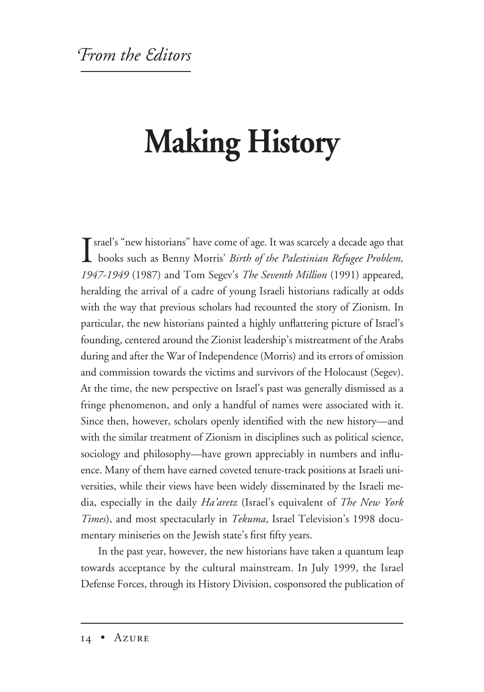## **Making History**

I srael's "new historians" have come of age. It was scarcely a decade ago that<br>books such as Benny Morris' *Birth of the Palestinian Refugee Problem*, books such as Benny Morris' *Birth of the Palestinian Refugee Problem, 1947-1949* (1987) and Tom Segev's *The Seventh Million* (1991) appeared, heralding the arrival of a cadre of young Israeli historians radically at odds with the way that previous scholars had recounted the story of Zionism. In particular, the new historians painted a highly unflattering picture of Israel's founding, centered around the Zionist leadership's mistreatment of the Arabs during and after the War of Independence (Morris) and its errors of omission and commission towards the victims and survivors of the Holocaust (Segev). At the time, the new perspective on Israel's past was generally dismissed as a fringe phenomenon, and only a handful of names were associated with it. Since then, however, scholars openly identified with the new history—and with the similar treatment of Zionism in disciplines such as political science, sociology and philosophy—have grown appreciably in numbers and influence. Many of them have earned coveted tenure-track positions at Israeli universities, while their views have been widely disseminated by the Israeli media, especially in the daily *Ha'aretz* (Israel's equivalent of *The New York Times*), and most spectacularly in *Tekuma*, Israel Television's 1998 documentary miniseries on the Jewish state's first fifty years.

In the past year, however, the new historians have taken a quantum leap towards acceptance by the cultural mainstream. In July 1999, the Israel Defense Forces, through its History Division, cosponsored the publication of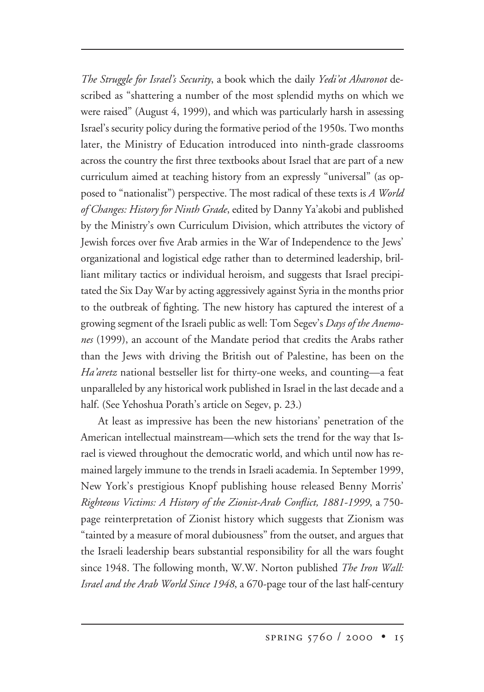*The Struggle for Israel's Security*, a book which the daily *Yedi'ot Aharonot* described as "shattering a number of the most splendid myths on which we were raised" (August 4, 1999), and which was particularly harsh in assessing Israel's security policy during the formative period of the 1950s. Two months later, the Ministry of Education introduced into ninth-grade classrooms across the country the first three textbooks about Israel that are part of a new curriculum aimed at teaching history from an expressly "universal" (as opposed to "nationalist") perspective. The most radical of these texts is *A World of Changes: History for Ninth Grade*, edited by Danny Ya'akobi and published by the Ministry's own Curriculum Division, which attributes the victory of Jewish forces over five Arab armies in the War of Independence to the Jews' organizational and logistical edge rather than to determined leadership, brilliant military tactics or individual heroism, and suggests that Israel precipitated the Six Day War by acting aggressively against Syria in the months prior to the outbreak of fighting. The new history has captured the interest of a growing segment of the Israeli public as well: Tom Segev's *Days of the Anemones* (1999), an account of the Mandate period that credits the Arabs rather than the Jews with driving the British out of Palestine, has been on the *Ha'aretz* national bestseller list for thirty-one weeks, and counting—a feat unparalleled by any historical work published in Israel in the last decade and a half. (See Yehoshua Porath's article on Segev, p. 23.)

At least as impressive has been the new historians' penetration of the American intellectual mainstream—which sets the trend for the way that Israel is viewed throughout the democratic world, and which until now has remained largely immune to the trends in Israeli academia. In September 1999, New York's prestigious Knopf publishing house released Benny Morris' *Righteous Victims: A History of the Zionist-Arab Conflict, 1881-1999*, a 750 page reinterpretation of Zionist history which suggests that Zionism was "tainted by a measure of moral dubiousness" from the outset, and argues that the Israeli leadership bears substantial responsibility for all the wars fought since 1948. The following month, W.W. Norton published *The Iron Wall: Israel and the Arab World Since 1948*, a 670-page tour of the last half-century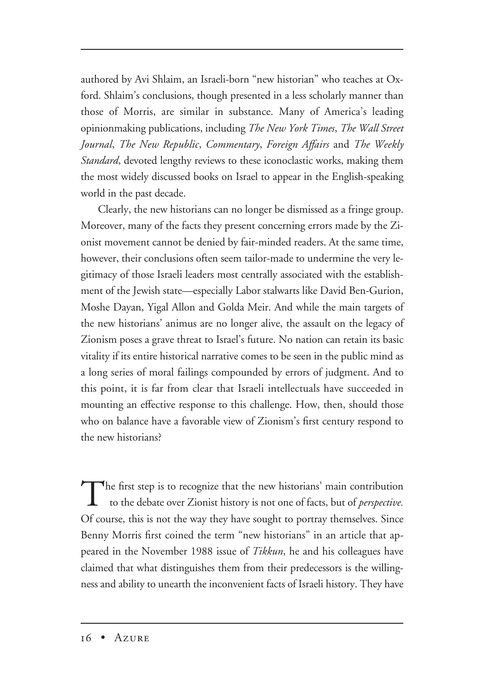authored by Avi Shlaim, an Israeli-born "new historian" who teaches at Oxford. Shlaim's conclusions, though presented in a less scholarly manner than those of Morris, are similar in substance. Many of America's leading opinionmaking publications, including *The New York Times*, *The Wall Street Journal*, *The New Republic*, *Commentary*, *Foreign Affairs* and *The Weekly Standard*, devoted lengthy reviews to these iconoclastic works, making them the most widely discussed books on Israel to appear in the English-speaking world in the past decade.

Clearly, the new historians can no longer be dismissed as a fringe group. Moreover, many of the facts they present concerning errors made by the Zionist movement cannot be denied by fair-minded readers. At the same time, however, their conclusions often seem tailor-made to undermine the very legitimacy of those Israeli leaders most centrally associated with the establishment of the Jewish state—especially Labor stalwarts like David Ben-Gurion, Moshe Dayan, Yigal Allon and Golda Meir. And while the main targets of the new historians' animus are no longer alive, the assault on the legacy of Zionism poses a grave threat to Israel's future. No nation can retain its basic vitality if its entire historical narrative comes to be seen in the public mind as a long series of moral failings compounded by errors of judgment. And to this point, it is far from clear that Israeli intellectuals have succeeded in mounting an effective response to this challenge. How, then, should those who on balance have a favorable view of Zionism's first century respond to the new historians?

The first step is to recognize that the new historians' main contribution to the debate over Zionist history is not one of facts, but of *perspective.* Of course, this is not the way they have sought to portray themselves. Since Benny Morris first coined the term "new historians" in an article that appeared in the November 1988 issue of *Tikkun*, he and his colleagues have claimed that what distinguishes them from their predecessors is the willingness and ability to unearth the inconvenient facts of Israeli history. They have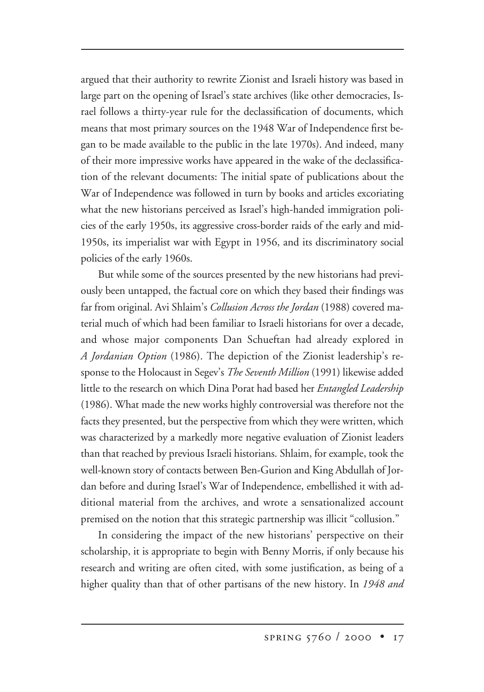argued that their authority to rewrite Zionist and Israeli history was based in large part on the opening of Israel's state archives (like other democracies, Israel follows a thirty-year rule for the declassification of documents, which means that most primary sources on the 1948 War of Independence first began to be made available to the public in the late 1970s). And indeed, many of their more impressive works have appeared in the wake of the declassification of the relevant documents: The initial spate of publications about the War of Independence was followed in turn by books and articles excoriating what the new historians perceived as Israel's high-handed immigration policies of the early 1950s, its aggressive cross-border raids of the early and mid-1950s, its imperialist war with Egypt in 1956, and its discriminatory social policies of the early 1960s.

But while some of the sources presented by the new historians had previously been untapped, the factual core on which they based their findings was far from original. Avi Shlaim's *Collusion Across the Jordan* (1988) covered material much of which had been familiar to Israeli historians for over a decade, and whose major components Dan Schueftan had already explored in *A Jordanian Option* (1986). The depiction of the Zionist leadership's response to the Holocaust in Segev's *The Seventh Million* (1991) likewise added little to the research on which Dina Porat had based her *Entangled Leadership* (1986). What made the new works highly controversial was therefore not the facts they presented, but the perspective from which they were written, which was characterized by a markedly more negative evaluation of Zionist leaders than that reached by previous Israeli historians. Shlaim, for example, took the well-known story of contacts between Ben-Gurion and King Abdullah of Jordan before and during Israel's War of Independence, embellished it with additional material from the archives, and wrote a sensationalized account premised on the notion that this strategic partnership was illicit "collusion."

In considering the impact of the new historians' perspective on their scholarship, it is appropriate to begin with Benny Morris, if only because his research and writing are often cited, with some justification, as being of a higher quality than that of other partisans of the new history. In *1948 and*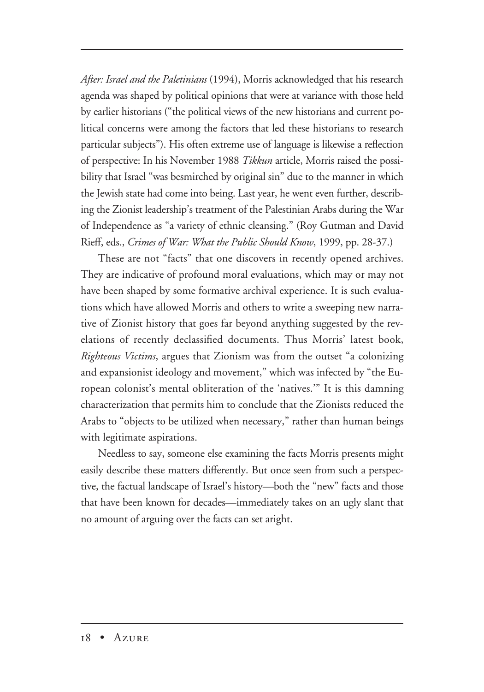*After: Israel and the Paletinians* (1994), Morris acknowledged that his research agenda was shaped by political opinions that were at variance with those held by earlier historians ("the political views of the new historians and current political concerns were among the factors that led these historians to research particular subjects"). His often extreme use of language is likewise a reflection of perspective: In his November 1988 *Tikkun* article, Morris raised the possibility that Israel "was besmirched by original sin" due to the manner in which the Jewish state had come into being. Last year, he went even further, describing the Zionist leadership's treatment of the Palestinian Arabs during the War of Independence as "a variety of ethnic cleansing." (Roy Gutman and David Rieff, eds., *Crimes of War: What the Public Should Know*, 1999, pp. 28-37.)

These are not "facts" that one discovers in recently opened archives. They are indicative of profound moral evaluations, which may or may not have been shaped by some formative archival experience. It is such evaluations which have allowed Morris and others to write a sweeping new narrative of Zionist history that goes far beyond anything suggested by the revelations of recently declassified documents. Thus Morris' latest book, *Righteous Victims*, argues that Zionism was from the outset "a colonizing and expansionist ideology and movement," which was infected by "the European colonist's mental obliteration of the 'natives.'" It is this damning characterization that permits him to conclude that the Zionists reduced the Arabs to "objects to be utilized when necessary," rather than human beings with legitimate aspirations.

Needless to say, someone else examining the facts Morris presents might easily describe these matters differently. But once seen from such a perspective, the factual landscape of Israel's history—both the "new" facts and those that have been known for decades—immediately takes on an ugly slant that no amount of arguing over the facts can set aright.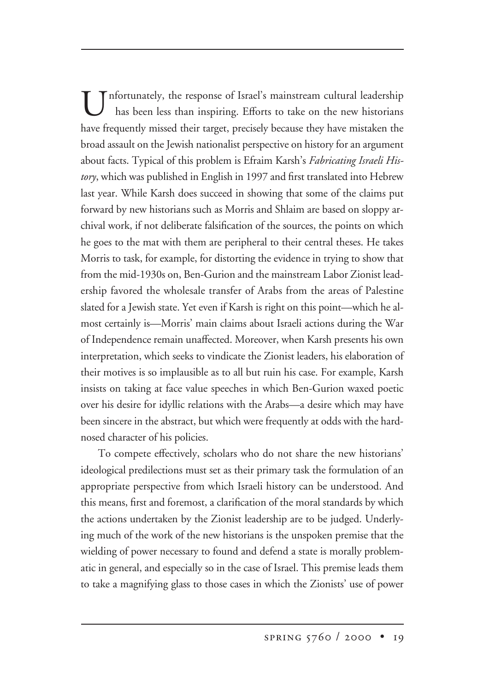I Tnfortunately, the response of Israel's mainstream cultural leadership has been less than inspiring. Efforts to take on the new historians have frequently missed their target, precisely because they have mistaken the broad assault on the Jewish nationalist perspective on history for an argument about facts. Typical of this problem is Efraim Karsh's *Fabricating Israeli History*, which was published in English in 1997 and first translated into Hebrew last year. While Karsh does succeed in showing that some of the claims put forward by new historians such as Morris and Shlaim are based on sloppy archival work, if not deliberate falsification of the sources, the points on which he goes to the mat with them are peripheral to their central theses. He takes Morris to task, for example, for distorting the evidence in trying to show that from the mid-1930s on, Ben-Gurion and the mainstream Labor Zionist leadership favored the wholesale transfer of Arabs from the areas of Palestine slated for a Jewish state. Yet even if Karsh is right on this point—which he almost certainly is—Morris' main claims about Israeli actions during the War of Independence remain unaffected. Moreover, when Karsh presents his own interpretation, which seeks to vindicate the Zionist leaders, his elaboration of their motives is so implausible as to all but ruin his case. For example, Karsh insists on taking at face value speeches in which Ben-Gurion waxed poetic over his desire for idyllic relations with the Arabs—a desire which may have been sincere in the abstract, but which were frequently at odds with the hardnosed character of his policies.

To compete effectively, scholars who do not share the new historians' ideological predilections must set as their primary task the formulation of an appropriate perspective from which Israeli history can be understood. And this means, first and foremost, a clarification of the moral standards by which the actions undertaken by the Zionist leadership are to be judged. Underlying much of the work of the new historians is the unspoken premise that the wielding of power necessary to found and defend a state is morally problematic in general, and especially so in the case of Israel. This premise leads them to take a magnifying glass to those cases in which the Zionists' use of power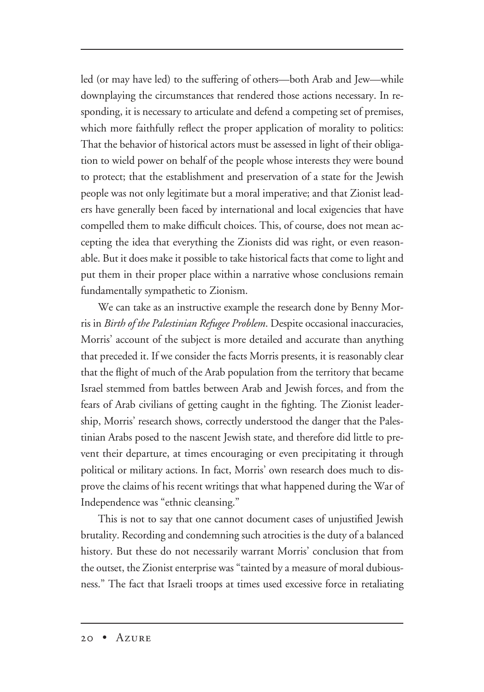led (or may have led) to the suffering of others—both Arab and Jew—while downplaying the circumstances that rendered those actions necessary. In responding, it is necessary to articulate and defend a competing set of premises, which more faithfully reflect the proper application of morality to politics: That the behavior of historical actors must be assessed in light of their obligation to wield power on behalf of the people whose interests they were bound to protect; that the establishment and preservation of a state for the Jewish people was not only legitimate but a moral imperative; and that Zionist leaders have generally been faced by international and local exigencies that have compelled them to make difficult choices. This, of course, does not mean accepting the idea that everything the Zionists did was right, or even reasonable. But it does make it possible to take historical facts that come to light and put them in their proper place within a narrative whose conclusions remain fundamentally sympathetic to Zionism.

We can take as an instructive example the research done by Benny Morris in *Birth of the Palestinian Refugee Problem*. Despite occasional inaccuracies, Morris' account of the subject is more detailed and accurate than anything that preceded it. If we consider the facts Morris presents, it is reasonably clear that the flight of much of the Arab population from the territory that became Israel stemmed from battles between Arab and Jewish forces, and from the fears of Arab civilians of getting caught in the fighting. The Zionist leadership, Morris' research shows, correctly understood the danger that the Palestinian Arabs posed to the nascent Jewish state, and therefore did little to prevent their departure, at times encouraging or even precipitating it through political or military actions. In fact, Morris' own research does much to disprove the claims of his recent writings that what happened during the War of Independence was "ethnic cleansing."

This is not to say that one cannot document cases of unjustified Jewish brutality. Recording and condemning such atrocities is the duty of a balanced history. But these do not necessarily warrant Morris' conclusion that from the outset, the Zionist enterprise was "tainted by a measure of moral dubiousness." The fact that Israeli troops at times used excessive force in retaliating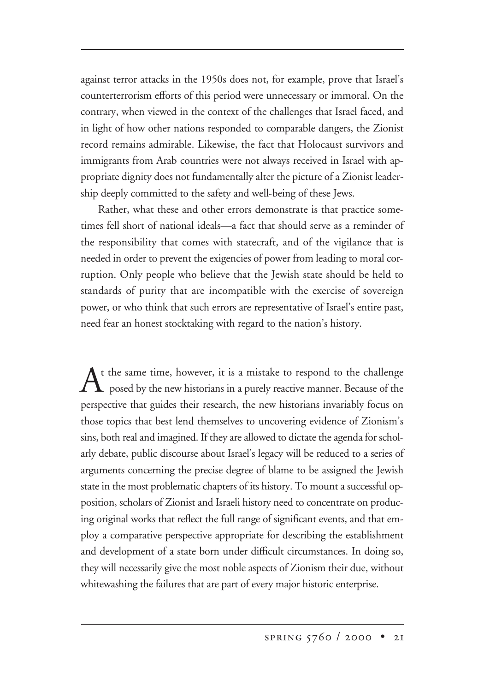against terror attacks in the 1950s does not, for example, prove that Israel's counterterrorism efforts of this period were unnecessary or immoral. On the contrary, when viewed in the context of the challenges that Israel faced, and in light of how other nations responded to comparable dangers, the Zionist record remains admirable. Likewise, the fact that Holocaust survivors and immigrants from Arab countries were not always received in Israel with appropriate dignity does not fundamentally alter the picture of a Zionist leadership deeply committed to the safety and well-being of these Jews.

Rather, what these and other errors demonstrate is that practice sometimes fell short of national ideals—a fact that should serve as a reminder of the responsibility that comes with statecraft, and of the vigilance that is needed in order to prevent the exigencies of power from leading to moral corruption. Only people who believe that the Jewish state should be held to standards of purity that are incompatible with the exercise of sovereign power, or who think that such errors are representative of Israel's entire past, need fear an honest stocktaking with regard to the nation's history.

 $\Lambda$  t the same time, however, it is a mistake to respond to the challenge  $\Gamma$  posed by the new historians in a purely reactive manner. Because of the perspective that guides their research, the new historians invariably focus on those topics that best lend themselves to uncovering evidence of Zionism's sins, both real and imagined. If they are allowed to dictate the agenda for scholarly debate, public discourse about Israel's legacy will be reduced to a series of arguments concerning the precise degree of blame to be assigned the Jewish state in the most problematic chapters of its history. To mount a successful opposition, scholars of Zionist and Israeli history need to concentrate on producing original works that reflect the full range of significant events, and that employ a comparative perspective appropriate for describing the establishment and development of a state born under difficult circumstances. In doing so, they will necessarily give the most noble aspects of Zionism their due, without whitewashing the failures that are part of every major historic enterprise.